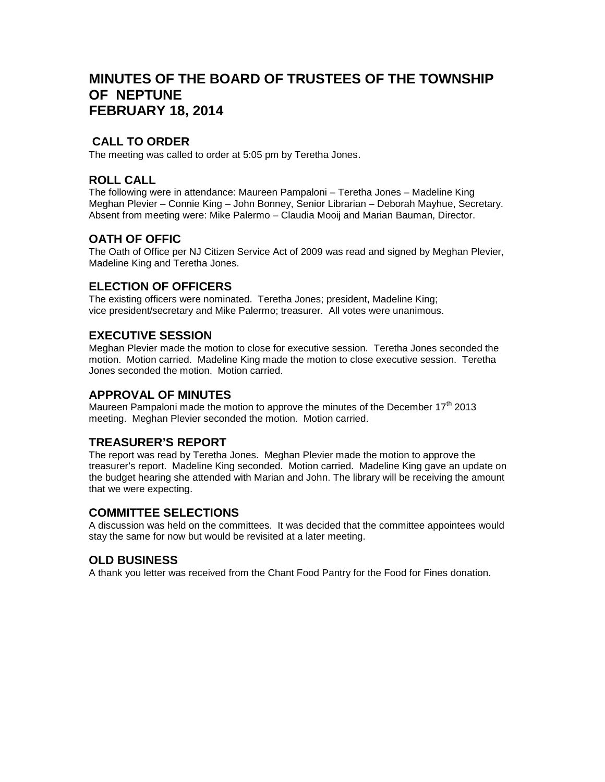# **MINUTES OF THE BOARD OF TRUSTEES OF THE TOWNSHIP OF NEPTUNE FEBRUARY 18, 2014**

## **CALL TO ORDER**

The meeting was called to order at 5:05 pm by Teretha Jones.

#### **ROLL CALL**

The following were in attendance: Maureen Pampaloni – Teretha Jones – Madeline King Meghan Plevier – Connie King – John Bonney, Senior Librarian – Deborah Mayhue, Secretary. Absent from meeting were: Mike Palermo – Claudia Mooij and Marian Bauman, Director.

### **OATH OF OFFIC**

The Oath of Office per NJ Citizen Service Act of 2009 was read and signed by Meghan Plevier, Madeline King and Teretha Jones.

### **ELECTION OF OFFICERS**

The existing officers were nominated. Teretha Jones; president, Madeline King; vice president/secretary and Mike Palermo; treasurer. All votes were unanimous.

#### **EXECUTIVE SESSION**

Meghan Plevier made the motion to close for executive session. Teretha Jones seconded the motion. Motion carried. Madeline King made the motion to close executive session. Teretha Jones seconded the motion. Motion carried.

#### **APPROVAL OF MINUTES**

Maureen Pampaloni made the motion to approve the minutes of the December  $17<sup>th</sup>$  2013 meeting. Meghan Plevier seconded the motion. Motion carried.

### **TREASURER'S REPORT**

The report was read by Teretha Jones. Meghan Plevier made the motion to approve the treasurer's report. Madeline King seconded. Motion carried. Madeline King gave an update on the budget hearing she attended with Marian and John. The library will be receiving the amount that we were expecting.

#### **COMMITTEE SELECTIONS**

A discussion was held on the committees. It was decided that the committee appointees would stay the same for now but would be revisited at a later meeting.

### **OLD BUSINESS**

A thank you letter was received from the Chant Food Pantry for the Food for Fines donation.